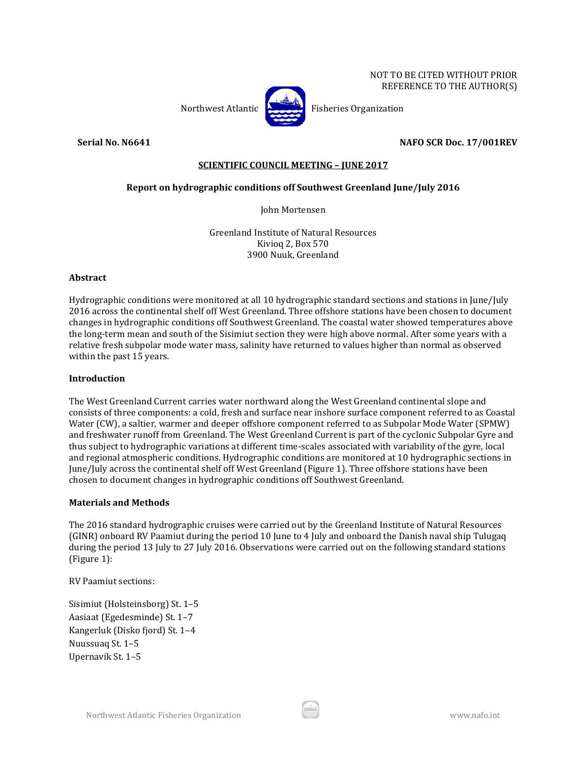

Northwest Atlantic **Property** Fisheries Organization

**Serial No. N6641 NAFO SCR Doc. 17/001REV**

# **SCIENTIFIC COUNCIL MEETING – JUNE 2017**

# **Report on hydrographic conditions off Southwest Greenland June/July 2016**

John Mortensen

Greenland Institute of Natural Resources Kivioq 2, Box 570 3900 Nuuk, Greenland

### **Abstract**

Hydrographic conditions were monitored at all 10 hydrographic standard sections and stations in June/July 2016 across the continental shelf off West Greenland. Three offshore stations have been chosen to document changes in hydrographic conditions off Southwest Greenland. The coastal water showed temperatures above the long-term mean and south of the Sisimiut section they were high above normal. After some years with a relative fresh subpolar mode water mass, salinity have returned to values higher than normal as observed within the past 15 years.

### **Introduction**

The West Greenland Current carries water northward along the West Greenland continental slope and consists of three components: a cold, fresh and surface near inshore surface component referred to as Coastal Water (CW), a saltier, warmer and deeper offshore component referred to as Subpolar Mode Water (SPMW) and freshwater runoff from Greenland. The West Greenland Current is part of the cyclonic Subpolar Gyre and thus subject to hydrographic variations at different time-scales associated with variability of the gyre, local and regional atmospheric conditions. Hydrographic conditions are monitored at 10 hydrographic sections in June/July across the continental shelf off West Greenland (Figure 1). Three offshore stations have been chosen to document changes in hydrographic conditions off Southwest Greenland.

#### **Materials and Methods**

The 2016 standard hydrographic cruises were carried out by the Greenland Institute of Natural Resources (GINR) onboard RV Paamiut during the period 10 June to 4 July and onboard the Danish naval ship Tulugaq during the period 13 July to 27 July 2016. Observations were carried out on the following standard stations (Figure 1):

RV Paamiut sections:

Sisimiut (Holsteinsborg) St. 1–5 Aasiaat (Egedesminde) St. 1–7 Kangerluk (Disko fjord) St. 1–4 Nuussuaq St. 1–5 Upernavik St. 1–5

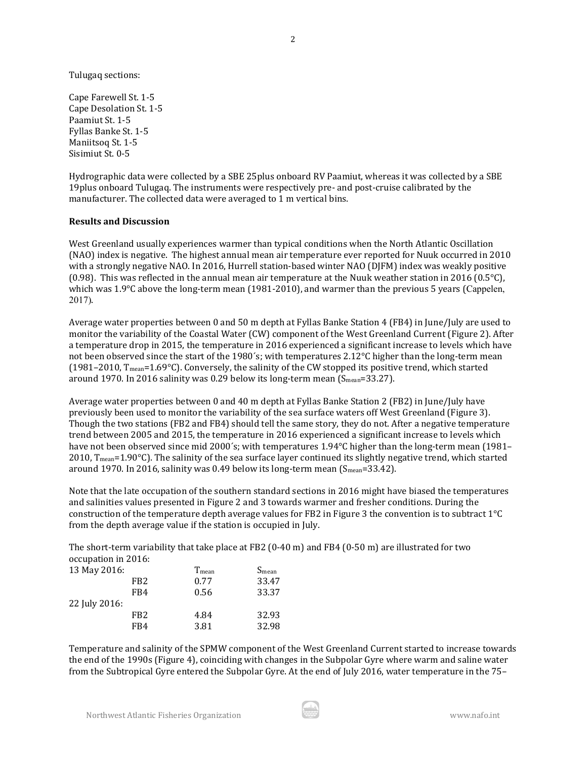Tulugaq sections:

Cape Farewell St. 1-5 Cape Desolation St. 1-5 Paamiut St. 1-5 Fyllas Banke St. 1-5 Maniitsoq St. 1-5 Sisimiut St. 0-5

Hydrographic data were collected by a SBE 25plus onboard RV Paamiut, whereas it was collected by a SBE 19plus onboard Tulugaq. The instruments were respectively pre- and post-cruise calibrated by the manufacturer. The collected data were averaged to 1 m vertical bins.

#### **Results and Discussion**

West Greenland usually experiences warmer than typical conditions when the North Atlantic Oscillation (NAO) index is negative. The highest annual mean air temperature ever reported for Nuuk occurred in 2010 with a strongly negative NAO. In 2016, Hurrell station-based winter NAO (DJFM) index was weakly positive (0.98). This was reflected in the annual mean air temperature at the Nuuk weather station in 2016 (0.5 $^{\circ}$ C), which was 1.9°C above the long-term mean (1981-2010), and warmer than the previous 5 years (Cappelen, 2017).

Average water properties between 0 and 50 m depth at Fyllas Banke Station 4 (FB4) in June/July are used to monitor the variability of the Coastal Water (CW) component of the West Greenland Current (Figure 2). After a temperature drop in 2015, the temperature in 2016 experienced a significant increase to levels which have not been observed since the start of the 1980's; with temperatures 2.12°C higher than the long-term mean (1981–2010, Tmean=1.69°C). Conversely, the salinity of the CW stopped its positive trend, which started around 1970. In 2016 salinity was 0.29 below its long-term mean  $(S_{mean}=33.27)$ .

Average water properties between 0 and 40 m depth at Fyllas Banke Station 2 (FB2) in June/July have previously been used to monitor the variability of the sea surface waters off West Greenland (Figure 3). Though the two stations (FB2 and FB4) should tell the same story, they do not. After a negative temperature trend between 2005 and 2015, the temperature in 2016 experienced a significant increase to levels which have not been observed since mid 2000's; with temperatures 1.94°C higher than the long-term mean (1981– 2010,  $T_{mean}$ =1.90°C). The salinity of the sea surface layer continued its slightly negative trend, which started around 1970. In 2016, salinity was 0.49 below its long-term mean  $(S_{mean}=33.42)$ .

Note that the late occupation of the southern standard sections in 2016 might have biased the temperatures and salinities values presented in Figure 2 and 3 towards warmer and fresher conditions. During the construction of the temperature depth average values for FB2 in Figure 3 the convention is to subtract 1°C from the depth average value if the station is occupied in July.

The short-term variability that take place at FB2 (0-40 m) and FB4 (0-50 m) are illustrated for two occupation in 2016:

| 13 May 2016:  |                 | T <sub>mean</sub> | S <sub>mean</sub> |
|---------------|-----------------|-------------------|-------------------|
|               | FB <sub>2</sub> | 0.77              | 33.47             |
|               | FB4             | 0.56              | 33.37             |
| 22 July 2016: |                 |                   |                   |
|               | FB <sub>2</sub> | 4.84              | 32.93             |
|               | FB4             | 3.81              | 32.98             |

Temperature and salinity of the SPMW component of the West Greenland Current started to increase towards the end of the 1990s (Figure 4), coinciding with changes in the Subpolar Gyre where warm and saline water from the Subtropical Gyre entered the Subpolar Gyre. At the end of July 2016, water temperature in the 75–

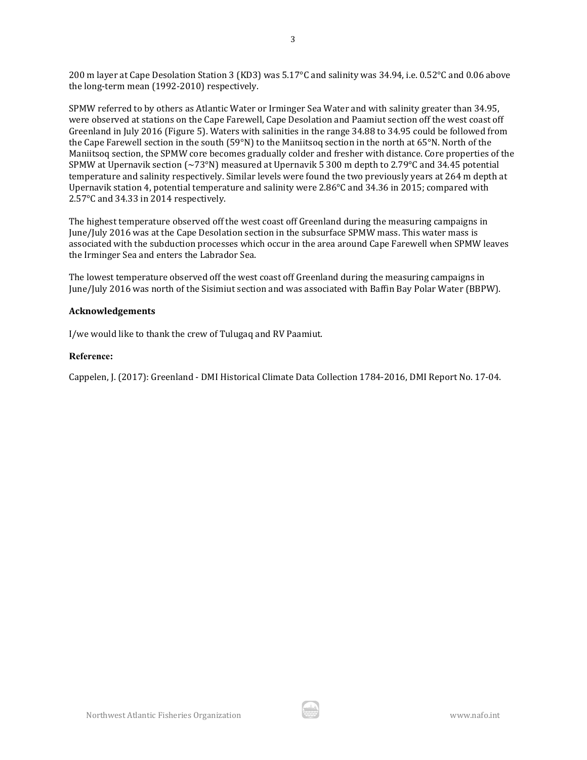200 m layer at Cape Desolation Station 3 (KD3) was 5.17°C and salinity was 34.94, i.e. 0.52°C and 0.06 above the long-term mean (1992-2010) respectively.

SPMW referred to by others as Atlantic Water or Irminger Sea Water and with salinity greater than 34.95, were observed at stations on the Cape Farewell, Cape Desolation and Paamiut section off the west coast off Greenland in July 2016 (Figure 5). Waters with salinities in the range 34.88 to 34.95 could be followed from the Cape Farewell section in the south (59°N) to the Maniitsoq section in the north at 65°N. North of the Maniitsoq section, the SPMW core becomes gradually colder and fresher with distance. Core properties of the SPMW at Upernavik section  $\sim 73^{\circ}$ N) measured at Upernavik 5 300 m depth to 2.79 $^{\circ}$ C and 34.45 potential temperature and salinity respectively. Similar levels were found the two previously years at 264 m depth at Upernavik station 4, potential temperature and salinity were 2.86°C and 34.36 in 2015; compared with 2.57°C and 34.33 in 2014 respectively.

The highest temperature observed off the west coast off Greenland during the measuring campaigns in June/July 2016 was at the Cape Desolation section in the subsurface SPMW mass. This water mass is associated with the subduction processes which occur in the area around Cape Farewell when SPMW leaves the Irminger Sea and enters the Labrador Sea.

The lowest temperature observed off the west coast off Greenland during the measuring campaigns in June/July 2016 was north of the Sisimiut section and was associated with Baffin Bay Polar Water (BBPW).

#### **Acknowledgements**

I/we would like to thank the crew of Tulugaq and RV Paamiut.

#### **Reference:**

Cappelen, J. (2017): Greenland - DMI Historical Climate Data Collection 1784-2016, DMI Report No. 17-04.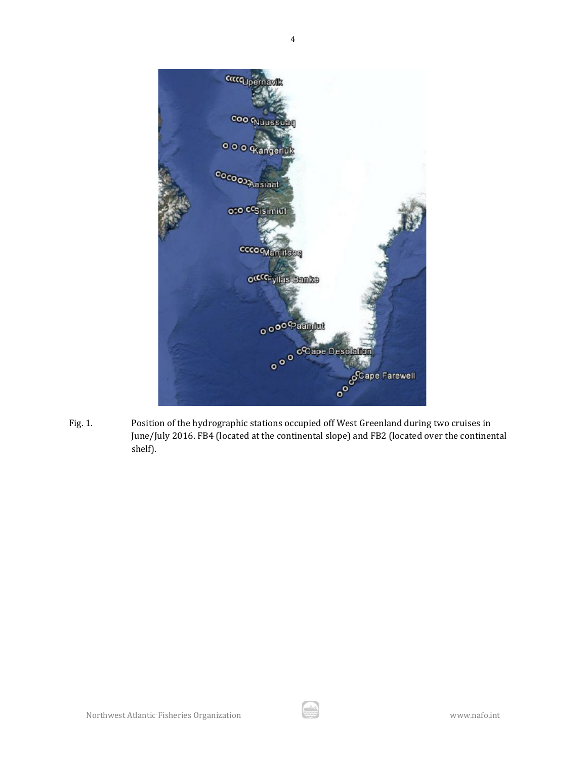

Fig. 1. Position of the hydrographic stations occupied off West Greenland during two cruises in June/July 2016. FB4 (located at the continental slope) and FB2 (located over the continental shelf).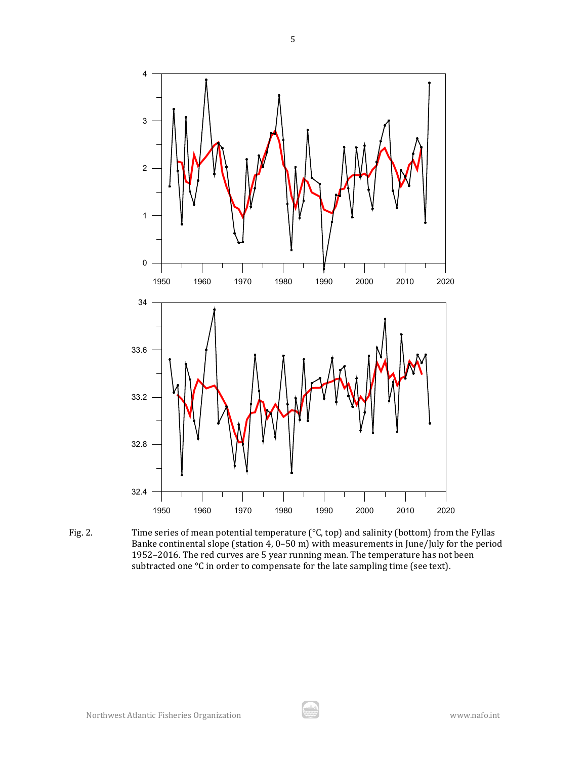

Fig. 2. Time series of mean potential temperature (°C, top) and salinity (bottom) from the Fyllas Banke continental slope (station 4, 0–50 m) with measurements in June/July for the period 1952–2016. The red curves are 5 year running mean. The temperature has not been subtracted one °C in order to compensate for the late sampling time (see text).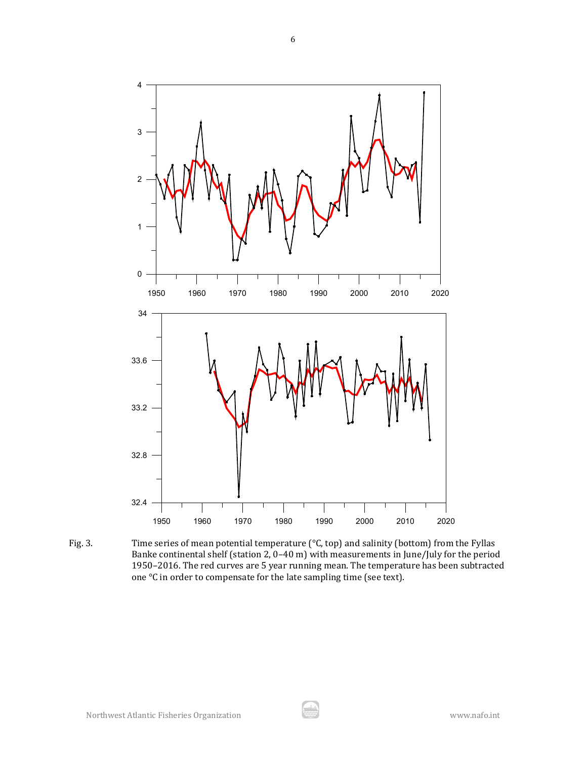

Fig. 3. Time series of mean potential temperature (°C, top) and salinity (bottom) from the Fyllas Banke continental shelf (station 2, 0–40 m) with measurements in June/July for the period 1950–2016. The red curves are 5 year running mean. The temperature has been subtracted one °C in order to compensate for the late sampling time (see text).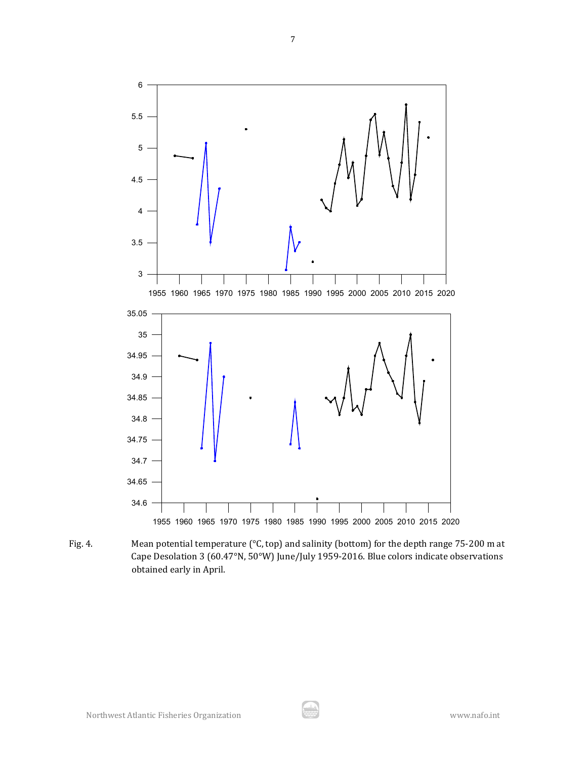

Fig. 4. Mean potential temperature (°C, top) and salinity (bottom) for the depth range 75-200 m at Cape Desolation 3 (60.47°N, 50°W) June/July 1959-2016. Blue colors indicate observations obtained early in April.